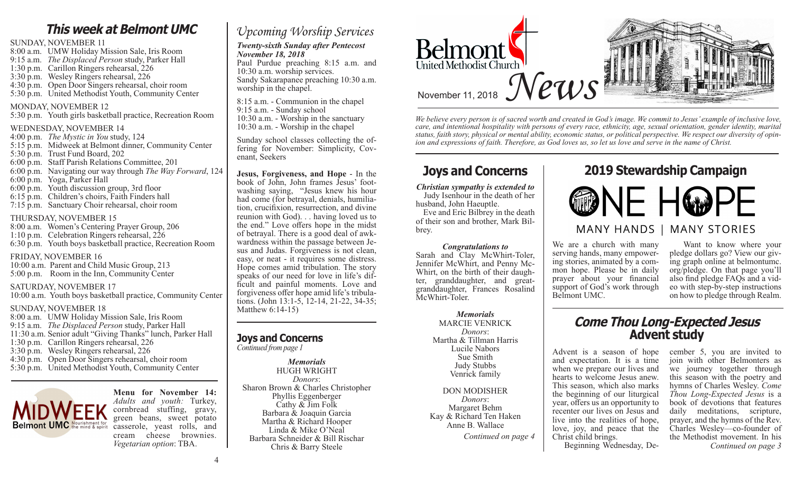### **This week at Belmont UMC**

#### SUNDAY, NOVEMBER 11

8:00 a.m. UMW Holiday Mission Sale, Iris Room 9:15 a.m. *The Displaced Person* study, Parker Hall 1:30 p.m. Carillon Ringers rehearsal, 226 3:30 p.m. Wesley Ringers rehearsal, 226 4:30 p.m. Open Door Singers rehearsal, choir room 5:30 p.m. United Methodist Youth, Community Center

#### MONDAY, NOVEMBER 12

5:30 p.m. Youth girls basketball practice, Recreation Room

#### WEDNESDAY, NOVEMBER 14

- 4:00 p.m. *The Mystic in You* study, 124 5:15 p.m. Midweek at Belmont dinner, Community Center
- 5:30 p.m. Trust Fund Board, 202
- 6:00 p.m. Staff Parish Relations Committee, 201
- 6:00 p.m. Navigating our way through *The Way Forward*, 124
- 6:00 p.m. Yoga, Parker Hall
- 6:00 p.m. Youth discussion group, 3rd floor
- 6:15 p.m. Children's choirs, Faith Finders hall
- 7:15 p.m. Sanctuary Choir rehearsal, choir room
- 

#### THURSDAY, NOVEMBER 15

8:00 a.m. Women's Centering Prayer Group, 206 1:10 p.m. Celebration Ringers rehearsal, 226 6:30 p.m. Youth boys basketball practice, Recreation Room

#### FRIDAY, NOVEMBER 16

10:00 a.m. Parent and Child Music Group, 213 5:00 p.m. Room in the Inn, Community Center

#### SATURDAY, NOVEMBER 17

10:00 a.m. Youth boys basketball practice, Community Center

#### SUNDAY, NOVEMBER 18

8:00 a.m. UMW Holiday Mission Sale, Iris Room 9:15 a.m. *The Displaced Person* study, Parker Hall 11:30 a.m. Senior adult "Giving Thanks" lunch, Parker Hall 1:30 p.m. Carillon Ringers rehearsal, 226 3:30 p.m. Wesley Ringers rehearsal, 226 4:30 p.m. Open Door Singers rehearsal, choir room 5:30 p.m. United Methodist Youth, Community Center



**Menu for November 14:** *Adults and youth:* Turkey, cornbread stuffing, gravy, green beans, sweet potato casserole, yeast rolls, and cream cheese brownies. *Vegetarian option*: TBA.

### *Upcoming Worship Services*

#### *Twenty-sixth Sunday after Pentecost November 18, 2018*

Paul Purdue preaching 8:15 a.m. and 10:30 a.m. worship services. Sandy Sakarapanee preaching 10:30 a.m. worship in the chapel.

8:15 a.m. - Communion in the chapel 9:15 a.m. - Sunday school 10:30 a.m. - Worship in the sanctuary 10:30 a.m. - Worship in the chapel

Sunday school classes collecting the of- fering for November: Simplicity, Cov- enant, Seekers

**Jesus, Forgiveness, and Hope** - In the book of John, John frames Jesus' footwashing saying, "Jesus knew his hour had come (for betrayal, denials, humiliation, crucifixion, resurrection, and divine reunion with God). . . having loved us to the end." Love offers hope in the midst of betrayal. There is a good deal of awkwardness within the passage between Jesus and Judas. Forgiveness is not clean, easy, or neat - it requires some distress. Hope comes amid tribulation. The story speaks of our need for love in life's difficult and painful moments. Love and forgiveness offer hope amid life's tribulations. (John 13:1-5, 12-14, 21-22, 34-35; Matthew 6:14-15)

#### **Joys and Concerns**

*Continued from page 1*

#### *Memorials* HUGH WRIGHT *Donors*: Sharon Brown & Charles Christopher Phyllis Eggenberger Cathy & Jim Folk Barbara & Joaquin Garcia Martha & Richard Hooper Linda & Mike O'Neal Barbara Schneider & Bill Rischar Chris & Barry Steele



*We believe every person is of sacred worth and created in God's image. We commit to Jesus' example of inclusive love, care, and intentional hospitality with persons of every race, ethnicity, age, sexual orientation, gender identity, marital status, faith story, physical or mental ability, economic status, or political perspective. We respect our diversity of opinion and expressions of faith. Therefore, as God loves us, so let us love and serve in the name of Christ.*

*Christian sympathy is extended to* Judy Isenhour in the death of her husband, John Haeuptle.

 Eve and Eric Bilbrey in the death of their son and brother, Mark Bilbrey.

#### *Congratulations to*

Sarah and Clay McWhirt-Toler, Jennifer McWhirt, and Penny Mc-Whirt, on the birth of their daughter, granddaughter, and greatgranddaughter, Frances Rosalind McWhirt-Toler.

> *Memorials* MARCIE VENRICK *Donors*: Martha & Tillman Harris Lucile Nabors Sue Smith Judy Stubbs Venrick family

#### DON MODISHER *Donors*: Margaret Behm Kay & Richard Ten Haken Anne B. Wallace

### **Joys and Concerns 2019 Stewardship Campaign**



We are a church with many serving hands, many empowering stories, animated by a common hope. Please be in daily prayer about your financial support of God's work through Belmont UMC.

 Want to know where your pledge dollars go? View our giving graph online at belmontumc. org/pledge. On that page you'll eo with step-by-step instructions on how to pledge through Realm.

# **Come Thou Long-Expected Jesus**

Advent is a season of hope and expectation. It is a time when we prepare our lives and hearts to welcome Jesus anew. This season, which also marks the beginning of our liturgical year, offers us an opportunity to recenter our lives on Jesus and live into the realities of hope, love, joy, and peace that the Christ child brings. Beginning Wednesday, De-

cember 5, you are invited to join with other Belmonters as we journey together through this season with the poetry and hymns of Charles Wesley. *Come Thou Long-Expected Jesus* is a book of devotions that features daily meditations, scripture, prayer, and the hymns of the Rev. Charles Wesley—co-founder of *Continued on page 4* Christ child brings. the Methodist movement. In his *Continued on page 3*